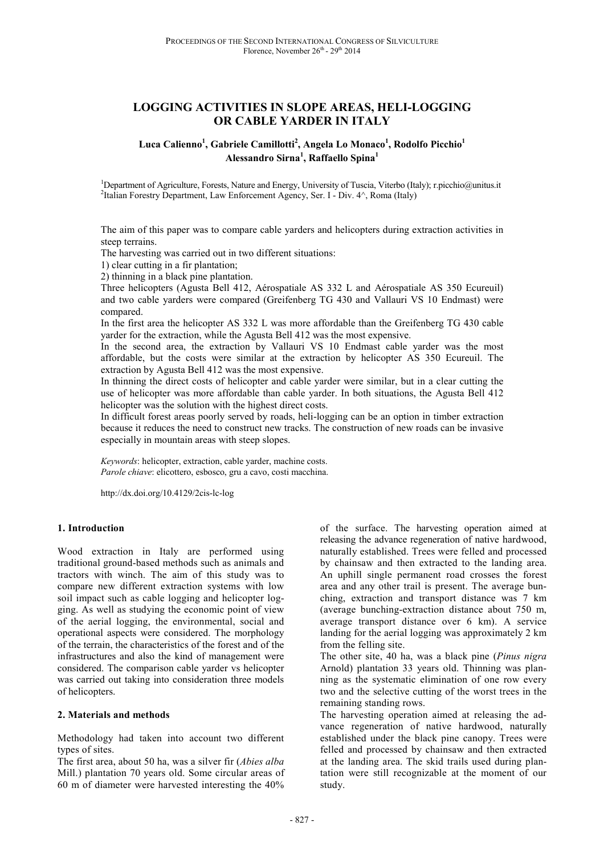# **LOGGING ACTIVITIES IN SLOPE AREAS, HELI-LOGGING OR CABLE YARDER IN ITALY**

### **Luca Calienno<sup>1</sup> , Gabriele Camillotti<sup>2</sup> , Angela Lo Monaco<sup>1</sup> , Rodolfo Picchio<sup>1</sup> Alessandro Sirna<sup>1</sup> , Raffaello Spina<sup>1</sup>**

<sup>1</sup>Department of Agriculture, Forests, Nature and Energy, University of Tuscia, Viterbo (Italy); r.picchio@unitus.it 2 Italian Forestry Department, Law Enforcement Agency, Ser. I - Div. 4^, Roma (Italy)

The aim of this paper was to compare cable yarders and helicopters during extraction activities in steep terrains.

The harvesting was carried out in two different situations:

1) clear cutting in a fir plantation;

2) thinning in a black pine plantation.

Three helicopters (Agusta Bell 412, Aérospatiale AS 332 L and Aérospatiale AS 350 Ecureuil) and two cable yarders were compared (Greifenberg TG 430 and Vallauri VS 10 Endmast) were compared.

In the first area the helicopter AS 332 L was more affordable than the Greifenberg TG 430 cable yarder for the extraction, while the Agusta Bell 412 was the most expensive.

In the second area, the extraction by Vallauri VS 10 Endmast cable yarder was the most affordable, but the costs were similar at the extraction by helicopter AS 350 Ecureuil. The extraction by Agusta Bell 412 was the most expensive.

In thinning the direct costs of helicopter and cable yarder were similar, but in a clear cutting the use of helicopter was more affordable than cable yarder. In both situations, the Agusta Bell 412 helicopter was the solution with the highest direct costs.

In difficult forest areas poorly served by roads, heli-logging can be an option in timber extraction because it reduces the need to construct new tracks. The construction of new roads can be invasive especially in mountain areas with steep slopes.

*Keywords*: helicopter, extraction, cable yarder, machine costs. *Parole chiave*: elicottero, esbosco, gru a cavo, costi macchina.

http://dx.doi.org/10.4129/2cis-lc-log

### **1. Introduction**

Wood extraction in Italy are performed using traditional ground-based methods such as animals and tractors with winch. The aim of this study was to compare new different extraction systems with low soil impact such as cable logging and helicopter logging. As well as studying the economic point of view of the aerial logging, the environmental, social and operational aspects were considered. The morphology of the terrain, the characteristics of the forest and of the infrastructures and also the kind of management were considered. The comparison cable yarder vs helicopter was carried out taking into consideration three models of helicopters.

#### **2. Materials and methods**

Methodology had taken into account two different types of sites.

The first area, about 50 ha, was a silver fir (*Abies alba* Mill.) plantation 70 years old. Some circular areas of 60 m of diameter were harvested interesting the 40%

of the surface. The harvesting operation aimed at releasing the advance regeneration of native hardwood, naturally established. Trees were felled and processed by chainsaw and then extracted to the landing area. An uphill single permanent road crosses the forest area and any other trail is present. The average bunching, extraction and transport distance was 7 km (average bunching-extraction distance about 750 m, average transport distance over 6 km). A service landing for the aerial logging was approximately 2 km from the felling site.

The other site, 40 ha, was a black pine (*Pinus nigra* Arnold) plantation 33 years old. Thinning was planning as the systematic elimination of one row every two and the selective cutting of the worst trees in the remaining standing rows.

The harvesting operation aimed at releasing the advance regeneration of native hardwood, naturally established under the black pine canopy. Trees were felled and processed by chainsaw and then extracted at the landing area. The skid trails used during plantation were still recognizable at the moment of our study.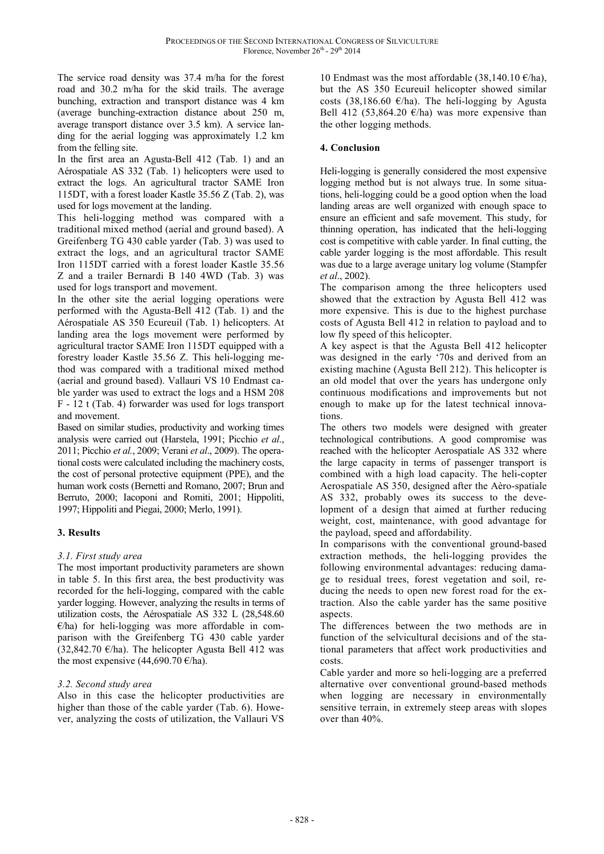The service road density was 37.4 m/ha for the forest road and 30.2 m/ha for the skid trails. The average bunching, extraction and transport distance was 4 km (average bunching-extraction distance about 250 m, average transport distance over 3.5 km). A service landing for the aerial logging was approximately 1.2 km from the felling site.

In the first area an Agusta-Bell 412 (Tab. 1) and an Aérospatiale AS 332 (Tab. 1) helicopters were used to extract the logs. An agricultural tractor SAME Iron 115DT, with a forest loader Kastle 35.56 Z (Tab. 2), was used for logs movement at the landing.

This heli-logging method was compared with a traditional mixed method (aerial and ground based). A Greifenberg TG 430 cable yarder (Tab. 3) was used to extract the logs, and an agricultural tractor SAME Iron 115DT carried with a forest loader Kastle 35.56 Z and a trailer Bernardi B 140 4WD (Tab. 3) was used for logs transport and movement.

In the other site the aerial logging operations were performed with the Agusta-Bell 412 (Tab. 1) and the Aérospatiale AS 350 Ecureuil (Tab. 1) helicopters. At landing area the logs movement were performed by agricultural tractor SAME Iron 115DT equipped with a forestry loader Kastle 35.56 Z. This heli-logging method was compared with a traditional mixed method (aerial and ground based). Vallauri VS 10 Endmast cable yarder was used to extract the logs and a HSM 208 F - 12 t (Tab. 4) forwarder was used for logs transport and movement.

Based on similar studies, productivity and working times analysis were carried out (Harstela, 1991; Picchio *et al*., 2011; Picchio *et al.*, 2009; Verani *et al*., 2009). The operational costs were calculated including the machinery costs, the cost of personal protective equipment (PPE), and the human work costs (Bernetti and Romano, 2007; Brun and Berruto, 2000; Iacoponi and Romiti, 2001; Hippoliti, 1997; Hippoliti and Piegai, 2000; Merlo, 1991).

## **3. Results**

### *3.1. First study area*

The most important productivity parameters are shown in table 5. In this first area, the best productivity was recorded for the heli-logging, compared with the cable yarder logging. However, analyzing the results in terms of utilization costs, the Aérospatiale AS 332 L (28,548.60  $E/ha$ ) for heli-logging was more affordable in comparison with the Greifenberg TG 430 cable yarder  $(32,842.70 \text{ } \epsilon/\text{ha})$ . The helicopter Agusta Bell 412 was the most expensive (44,690.70  $\varepsilon$ /ha).

### *3.2. Second study area*

Also in this case the helicopter productivities are higher than those of the cable yarder (Tab. 6). However, analyzing the costs of utilization, the Vallauri VS 10 Endmast was the most affordable (38,140.10  $\epsilon$ /ha), but the AS 350 Ecureuil helicopter showed similar costs (38,186.60  $\epsilon$ /ha). The heli-logging by Agusta Bell 412 (53,864.20  $\epsilon$ /ha) was more expensive than the other logging methods.

### **4. Conclusion**

Heli-logging is generally considered the most expensive logging method but is not always true. In some situations, heli-logging could be a good option when the load landing areas are well organized with enough space to ensure an efficient and safe movement. This study, for thinning operation, has indicated that the heli-logging cost is competitive with cable yarder. In final cutting, the cable yarder logging is the most affordable. This result was due to a large average unitary log volume (Stampfer *et al*., 2002).

The comparison among the three helicopters used showed that the extraction by Agusta Bell 412 was more expensive. This is due to the highest purchase costs of Agusta Bell 412 in relation to payload and to low fly speed of this helicopter.

A key aspect is that the Agusta Bell 412 helicopter was designed in the early '70s and derived from an existing machine (Agusta Bell 212). This helicopter is an old model that over the years has undergone only continuous modifications and improvements but not enough to make up for the latest technical innovations.

The others two models were designed with greater technological contributions. A good compromise was reached with the helicopter Aerospatiale AS 332 where the large capacity in terms of passenger transport is combined with a high load capacity. The heli-copter Aerospatiale AS 350, designed after the Aèro-spatiale AS 332, probably owes its success to the development of a design that aimed at further reducing weight, cost, maintenance, with good advantage for the payload, speed and affordability.

In comparisons with the conventional ground-based extraction methods, the heli-logging provides the following environmental advantages: reducing damage to residual trees, forest vegetation and soil, reducing the needs to open new forest road for the extraction. Also the cable yarder has the same positive aspects.

The differences between the two methods are in function of the selvicultural decisions and of the stational parameters that affect work productivities and costs.

Cable yarder and more so heli-logging are a preferred alternative over conventional ground-based methods when logging are necessary in environmentally sensitive terrain, in extremely steep areas with slopes over than 40%.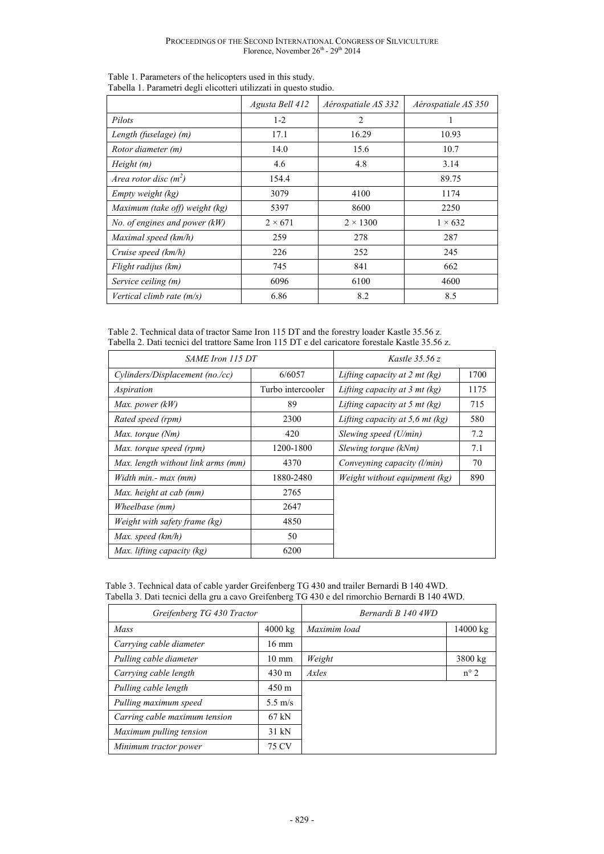|                                | Agusta Bell 412 | Aérospatiale AS 332 | Aérospatiale AS 350 |
|--------------------------------|-----------------|---------------------|---------------------|
| Pilots                         | $1 - 2$         | $\overline{2}$      |                     |
| Length (fuselage) (m)          | 17.1            | 16.29               | 10.93               |
| Rotor diameter (m)             | 14.0            | 15.6                | 10.7                |
| Height(m)                      | 4.6             | 4.8                 | 3.14                |
| Area rotor disc $(m^2)$        | 154.4           |                     | 89.75               |
| Empty weight (kg)              | 3079            | 4100                | 1174                |
| Maximum (take off) weight (kg) | 5397            | 8600                | 2250                |
| No. of engines and power (kW)  | $2 \times 671$  | $2 \times 1300$     | $1 \times 632$      |
| Maximal speed (km/h)           | 259             | 278                 | 287                 |
| Cruise speed (km/h)            | 226             | 252                 | 245                 |
| Flight radijus (km)            | 745             | 841                 | 662                 |
| Service ceiling (m)            | 6096            | 6100                | 4600                |
| Vertical climb rate (m/s)      | 6.86            | 8.2                 | 8.5                 |

Table 1. Parameters of the helicopters used in this study. Tabella 1. Parametri degli elicotteri utilizzati in questo studio.

Table 2. Technical data of tractor Same Iron 115 DT and the forestry loader Kastle 35.56 z. Tabella 2. Dati tecnici del trattore Same Iron 115 DT e del caricatore forestale Kastle 35.56 z.

| SAME Iron 115 DT                   |                   | Kastle $35.56 z$                     |      |
|------------------------------------|-------------------|--------------------------------------|------|
| Cylinders/Displacement (no./cc)    | 6/6057            | Lifting capacity at $2$ mt (kg)      | 1700 |
| Aspiration                         | Turbo intercooler | Lifting capacity at 3 mt $(kg)$      | 1175 |
| Max. power (kW)                    | 89                | Lifting capacity at 5 mt $(kg)$      | 715  |
| Rated speed (rpm)                  | 2300              | Lifting capacity at 5,6 mt $(kg)$    | 580  |
| Max. torque (Nm)                   | 420               | Slewing speed $(U/min)$              | 7.2  |
| Max. torque speed (rpm)            | 1200-1800         | Slewing torque (kNm)                 | 7.1  |
| Max. length without link arms (mm) | 4370              | Conveyning capacity ( <i>l</i> /min) | 70   |
| Width min.- max (mm)               | 1880-2480         | Weight without equipment (kg)        | 890  |
| Max. height at cab (mm)            | 2765              |                                      |      |
| Wheelbase (mm)                     | 2647              |                                      |      |
| Weight with safety frame (kg)      | 4850              |                                      |      |
| Max. speed (km/h)                  | 50                |                                      |      |
| Max. lifting capacity (kg)         | 6200              |                                      |      |

| Table 3. Technical data of cable yarder Greifenberg TG 430 and trailer Bernardi B 140 4WD.      |
|-------------------------------------------------------------------------------------------------|
| Tabella 3. Dati tecnici della gru a cavo Greifenberg TG 430 e del rimorchio Bernardi B 140 4WD. |

| Greifenberg TG 430 Tractor    |                   | Bernardi B 140 4WD |                    |
|-------------------------------|-------------------|--------------------|--------------------|
| Mass                          | $4000 \text{ kg}$ | Maximim load       | $14000 \text{ kg}$ |
| Carrying cable diameter       | $16 \text{ mm}$   |                    |                    |
| Pulling cable diameter        | $10 \text{ mm}$   | Weight             | $3800 \text{ kg}$  |
| Carrying cable length         | $430 \text{ m}$   | Axles              | $n^{\circ}$ 2      |
| Pulling cable length          | $450 \text{ m}$   |                    |                    |
| Pulling maximum speed         | $5.5 \text{ m/s}$ |                    |                    |
| Carring cable maximum tension | $67$ kN           |                    |                    |
| Maximum pulling tension       | 31 kN             |                    |                    |
| Minimum tractor power         | 75 CV             |                    |                    |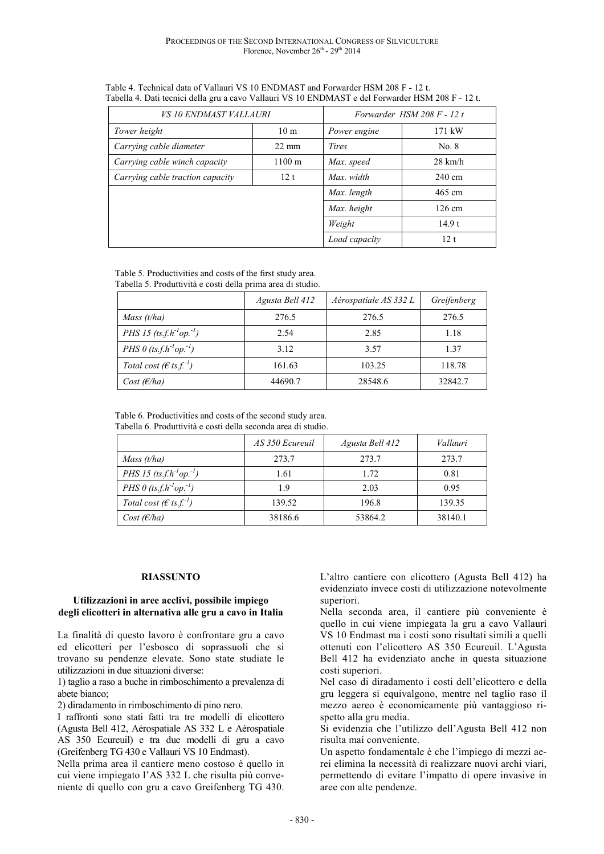| <i>VS 10 ENDMAST VALLAURI</i>    |                      | Forwarder HSM 208 F - 12 t |                   |
|----------------------------------|----------------------|----------------------------|-------------------|
| Tower height                     | 10 <sub>m</sub>      | Power engine               | 171 kW            |
| Carrying cable diameter          | $22 \text{ mm}$      | <b>Tires</b>               | No. 8             |
| Carrying cable winch capacity    | $1100 \; \mathrm{m}$ | Max. speed                 | $28 \text{ km/h}$ |
| Carrying cable traction capacity | 12 <sub>t</sub>      | Max. width                 | $240 \text{ cm}$  |
|                                  |                      | Max. length                | $465$ cm          |
|                                  |                      | Max. height                | $126 \text{ cm}$  |
|                                  |                      | Weight                     | 14.9t             |
|                                  |                      | Load capacity              | 12t               |

 Table 4. Technical data of Vallauri VS 10 ENDMAST and Forwarder HSM 208 F - 12 t. Tabella 4. Dati tecnici della gru a cavo Vallauri VS 10 ENDMAST e del Forwarder HSM 208 F - 12 t.

Table 5. Productivities and costs of the first study area. Tabella 5. Produttività e costi della prima area di studio.

|                                               | Agusta Bell 412 | Aérospatiale AS 332 L | Greifenberg |
|-----------------------------------------------|-----------------|-----------------------|-------------|
| Mass $(t/ha)$                                 | 276.5           | 276.5                 | 276.5       |
| PHS 15 $(ts.f.h^{-1}op^{-1})$                 | 2.54            | 2.85                  | 1.18        |
| PHS 0 $(ts.f.h^{-1}op^{-1})$                  | 3.12            | 3.57                  | 1.37        |
| Total cost ( $\epsilon$ ts.f. <sup>-1</sup> ) | 161.63          | 103.25                | 118.78      |
| Cost(E/ha)                                    | 44690.7         | 28548.6               | 32842.7     |

Table 6. Productivities and costs of the second study area. Tabella 6. Produttività e costi della seconda area di studio.

|                                               | AS 350 Ecureuil | Agusta Bell 412 | Vallauri |
|-----------------------------------------------|-----------------|-----------------|----------|
| Mass $(t/ha)$                                 | 273.7           | 273.7           | 273.7    |
| PHS 15 $(ts.f.h^{-1}op^{-1})$                 | 1.61            | 1.72            | 0.81     |
| PHS 0 $(ts.f.h^{-1}op^{-1})$                  | 1.9             | 2.03            | 0.95     |
| Total cost ( $\epsilon$ ts.f. <sup>-1</sup> ) | 139.52          | 196.8           | 139.35   |
| Cost(E/ha)                                    | 38186.6         | 53864.2         | 38140.1  |

#### **RIASSUNTO**

#### **Utilizzazioni in aree acclivi, possibile impiego degli elicotteri in alternativa alle gru a cavo in Italia**

La finalità di questo lavoro è confrontare gru a cavo ed elicotteri per l'esbosco di soprassuoli che si trovano su pendenze elevate. Sono state studiate le utilizzazioni in due situazioni diverse:

1) taglio a raso a buche in rimboschimento a prevalenza di abete bianco;

2) diradamento in rimboschimento di pino nero.

I raffronti sono stati fatti tra tre modelli di elicottero (Agusta Bell 412, Aérospatiale AS 332 L e Aérospatiale AS 350 Ecureuil) e tra due modelli di gru a cavo (Greifenberg TG 430 e Vallauri VS 10 Endmast).

Nella prima area il cantiere meno costoso è quello in cui viene impiegato l'AS 332 L che risulta più conveniente di quello con gru a cavo Greifenberg TG 430. L'altro cantiere con elicottero (Agusta Bell 412) ha evidenziato invece costi di utilizzazione notevolmente superiori.

Nella seconda area, il cantiere più conveniente è quello in cui viene impiegata la gru a cavo Vallauri VS 10 Endmast ma i costi sono risultati simili a quelli ottenuti con l'elicottero AS 350 Ecureuil. L'Agusta Bell 412 ha evidenziato anche in questa situazione costi superiori.

Nel caso di diradamento i costi dell'elicottero e della gru leggera si equivalgono, mentre nel taglio raso il mezzo aereo è economicamente più vantaggioso rispetto alla gru media.

Si evidenzia che l'utilizzo dell'Agusta Bell 412 non risulta mai conveniente.

Un aspetto fondamentale è che l'impiego di mezzi aerei elimina la necessità di realizzare nuovi archi viari, permettendo di evitare l'impatto di opere invasive in aree con alte pendenze.